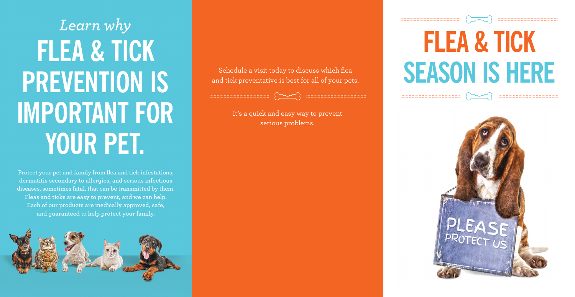Schedule a visit today to discuss which flea and tick preventative is best for all of your pets.



## **FLEA & TICK SEASON IS HERE**  $\begin{picture}(120,111){\small\bf 1} \end{picture}$



It's a quick and easy way to prevent serious problems.



# *Learn why* **FLEA & TICK PREVENTION IS IMPORTANT FOR YOUR PET.**

**Protect your pet and family from flea and tick infestations, dermatitis secondary to allergies, and serious infectious diseases, sometimes fatal, that can be transmitted by them. Fleas and ticks are easy to prevent, and we can help. Each of our products are medically approved, safe, and guaranteed to help protect your family.**